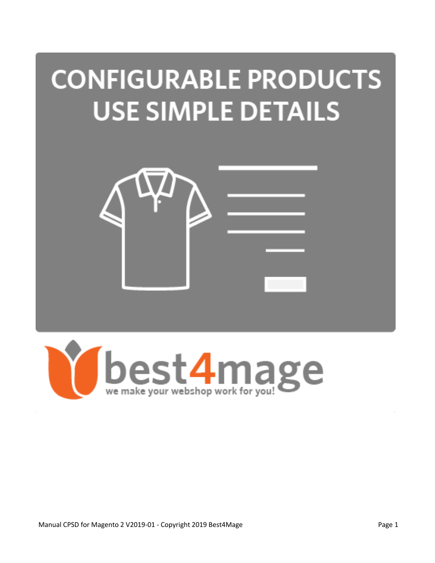# **CONFIGURABLE PRODUCTS USE SIMPLE DETAILS**



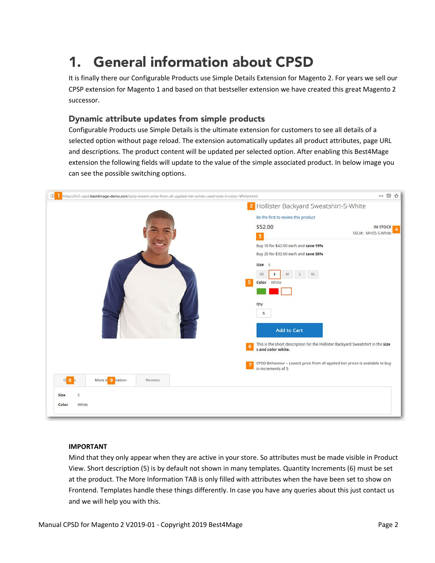# 1. General information about CPSD

It is finally there our Configurable Products use Simple Details Extension for Magento 2. For years we sell our CPSP extension for Magento 1 and based on that bestseller extension we have created this great Magento 2 successor.

### Dynamic attribute updates from simple products

Configurable Products use Simple Details is the ultimate extension for customers to see all details of a selected option without page reload. The extension automatically updates all product attributes, page URL and descriptions. The product content will be updated per selected option. After enabling this Best4Mage extension the following fields will update to the value of the simple associated product. In below image you can see the possible switching options.



#### **IMPORTANT**

Mind that they only appear when they are active in your store. So attributes must be made visible in Product View. Short description (5) is by default not shown in many templates. Quantity Increments (6) must be set at the product. The More Information TAB is only filled with attributes when the have been set to show on Frontend. Templates handle these things differently. In case you have any queries about this just contact us and we will help you with this.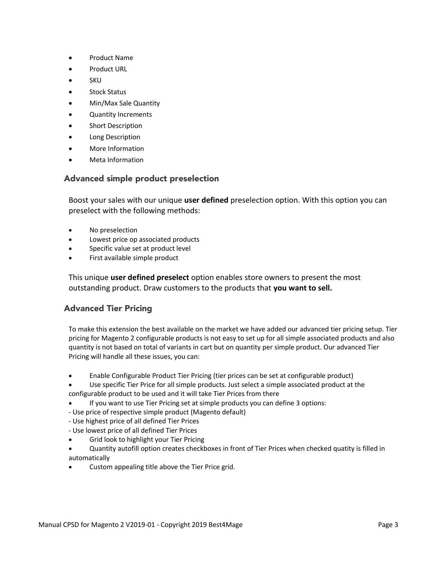- Product Name
- Product URL
- SKU
- Stock Status
- Min/Max Sale Quantity
- Quantity Increments
- Short Description
- Long Description
- More Information
- Meta Information

### Advanced simple product preselection

Boost your sales with our unique **user defined** preselection option. With this option you can preselect with the following methods:

- No preselection
- Lowest price op associated products
- Specific value set at product level
- First available simple product

This unique **user defined preselect** option enables store owners to present the most outstanding product. Draw customers to the products that **you want to sell.**

# Advanced Tier Pricing

To make this extension the best available on the market we have added our advanced tier pricing setup. Tier pricing for Magento 2 configurable products is not easy to set up for all simple associated products and also quantity is not based on total of variants in cart but on quantity per simple product. Our advanced Tier Pricing will handle all these issues, you can:

- Enable Configurable Product Tier Pricing (tier prices can be set at configurable product)
- Use specific Tier Price for all simple products. Just select a simple associated product at the configurable product to be used and it will take Tier Prices from there
- If you want to use Tier Pricing set at simple products you can define 3 options:
- Use price of respective simple product (Magento default)
- Use highest price of all defined Tier Prices
- Use lowest price of all defined Tier Prices
- Grid look to highlight your Tier Pricing
- Quantity autofill option creates checkboxes in front of Tier Prices when checked quatity is filled in automatically
- Custom appealing title above the Tier Price grid.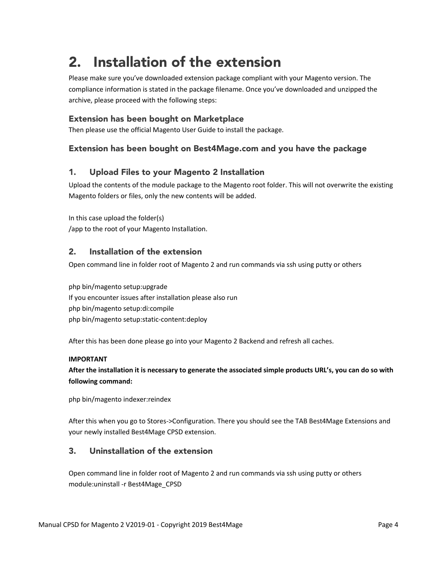# 2. Installation of the extension

Please make sure you've downloaded extension package compliant with your Magento version. The compliance information is stated in the package filename. Once you've downloaded and unzipped the archive, please proceed with the following steps:

### Extension has been bought on Marketplace

Then please use the official Magento User Guide to install the package.

# Extension has been bought on Best4Mage.com and you have the package

# 1. Upload Files to your Magento 2 Installation

Upload the contents of the module package to the Magento root folder. This will not overwrite the existing Magento folders or files, only the new contents will be added.

In this case upload the folder(s) /app to the root of your Magento Installation.

### 2. Installation of the extension

Open command line in folder root of Magento 2 and run commands via ssh using putty or others

php bin/magento setup:upgrade If you encounter issues after installation please also run php bin/magento setup:di:compile php bin/magento setup:static-content:deploy

After this has been done please go into your Magento 2 Backend and refresh all caches.

#### **IMPORTANT**

**After the installation it is necessary to generate the associated simple products URL's, you can do so with following command:**

php bin/magento indexer:reindex

After this when you go to Stores->Configuration. There you should see the TAB Best4Mage Extensions and your newly installed Best4Mage CPSD extension.

# 3. Uninstallation of the extension

Open command line in folder root of Magento 2 and run commands via ssh using putty or others module:uninstall -r Best4Mage\_CPSD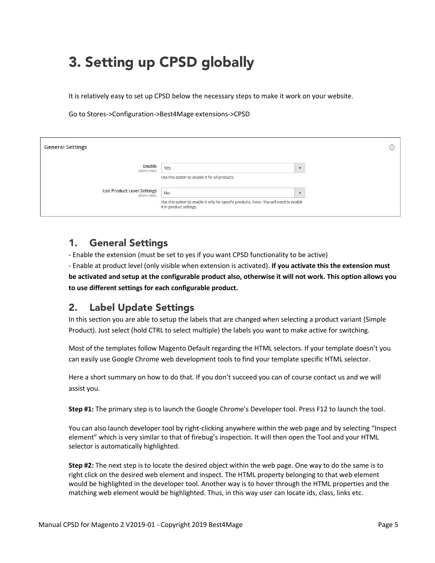# 3. Setting up CPSD globally

It is relatively easy to set up CPSD below the necessary steps to make it work on your website.

Go to Stores->Configuration->Best4Mage extensions->CPSD

| <b>General Settings</b>                           |                                                                                                                    | $\odot$                 |
|---------------------------------------------------|--------------------------------------------------------------------------------------------------------------------|-------------------------|
| Enable<br>[store view]                            | Yes                                                                                                                | $\overline{\mathbf{v}}$ |
|                                                   | Use this option to enable it for all products.                                                                     |                         |
| <b>Use Product Level Settings</b><br>[store view] | No                                                                                                                 | ٠                       |
|                                                   | Use this option to enable it only for specific products. Note : You will need to enable<br>it in product settings. |                         |

# 1. General Settings

- Enable the extension (must be set to yes if you want CPSD functionality to be active) - Enable at product level (only visible when extension is activated). **If you activate this the extension must be activated and setup at the configurable product also, otherwise it will not work. This option allows you to use different settings for each configurable product.**

# 2. Label Update Settings

In this section you are able to setup the labels that are changed when selecting a product variant (Simple Product). Just select (hold CTRL to select multiple) the labels you want to make active for switching.

Most of the templates follow Magento Default regarding the HTML selectors. If your template doesn't you can easily use Google Chrome web development tools to find your template specific HTML selector.

Here a short summary on how to do that. If you don't succeed you can of course contact us and we will assist you.

**Step #1:** The primary step is to launch the Google Chrome's Developer tool. Press F12 to launch the tool.

You can also launch developer tool by right-clicking anywhere within the web page and by selecting "Inspect element" which is very similar to that of firebug's inspection. It will then open the Tool and your HTML selector is automatically highlighted.

**Step #2:** The next step is to locate the desired object within the web page. One way to do the same is to right click on the desired web element and inspect. The HTML property belonging to that web element would be highlighted in the developer tool. Another way is to hover through the HTML properties and the matching web element would be highlighted. Thus, in this way user can locate ids, class, links etc.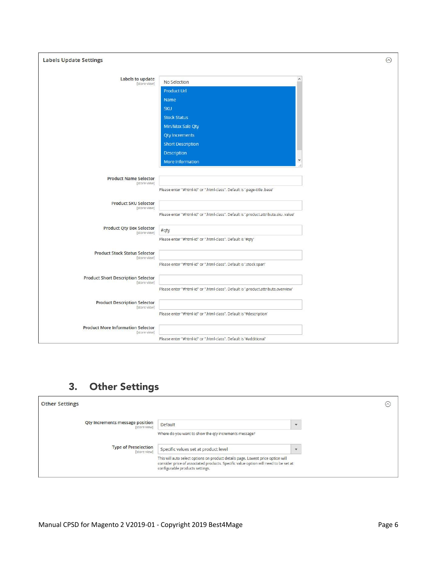| <b>Labels Update Settings</b>                             |                                                                                                                                                                                                        | $\odot$ |
|-----------------------------------------------------------|--------------------------------------------------------------------------------------------------------------------------------------------------------------------------------------------------------|---------|
| Labels to update<br>[store view]                          | $\land$<br>No Selection<br><b>Product Url</b><br>Name<br><b>SKU</b><br><b>Stock Status</b><br>Min/Max Sale Qty<br><b>Qty Increments</b><br><b>Short Description</b><br>Description<br>More Information |         |
| <b>Product Name Selector</b><br>[store view]              | Please enter "#html-id" or ".html-class". Default is '.page-title .base'                                                                                                                               |         |
| <b>Product SKU Selector</b><br>[store view]               | Please enter "#html-id" or ".html-class". Default is '.product.attribute.sku .value'                                                                                                                   |         |
| <b>Product Qty Box Selector</b><br>[store view]           | #qty<br>Please enter "#html-id" or ".html-class". Default is '#qty'                                                                                                                                    |         |
| <b>Product Stock Status Selector</b><br>[store view]      | Please enter "#html-id" or ".html-class". Default is '.stock span'                                                                                                                                     |         |
| <b>Product Short Description Selector</b><br>[store view] | Please enter "#html-id" or ".html-class". Default is '.product.attribute.overview'                                                                                                                     |         |
| <b>Product Description Selector</b><br>[store view]       | Please enter "#html-id" or ".html-class". Default is '#description'                                                                                                                                    |         |
| <b>Product More Information Selector</b><br>[store view]  | Please enter "#html-id" or ".html-class". Default is '#additional'                                                                                                                                     |         |

# 3. Other Settings

| <b>Other Settings</b>                                  |                                                                                                                                                                                                           | $(\sim)$ |
|--------------------------------------------------------|-----------------------------------------------------------------------------------------------------------------------------------------------------------------------------------------------------------|----------|
| <b>Qty Increments message position</b><br>[store view] | Default                                                                                                                                                                                                   |          |
|                                                        | Where do you want to show the qty increments message?                                                                                                                                                     |          |
| <b>Type of Preselection</b><br>[store view]            | Specific values set at product level                                                                                                                                                                      |          |
|                                                        | This will auto select options on product details page. Lowest price option will<br>consider price of associated products. Specific value option will need to be set at<br>configurable products settings. |          |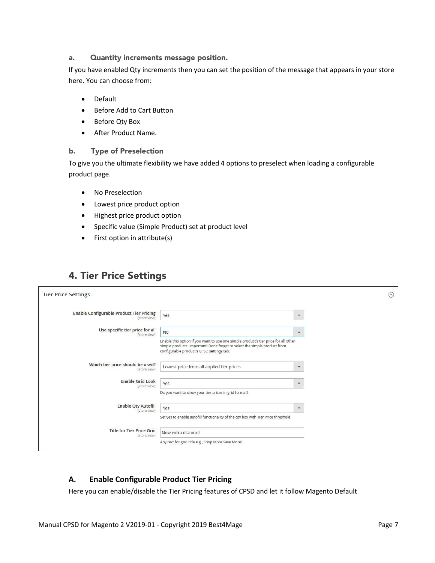#### a. Quantity increments message position.

If you have enabled Qty increments then you can set the position of the message that appears in your store here. You can choose from:

- Default
- Before Add to Cart Button
- Before Qty Box
- After Product Name.

#### b. Type of Preselection

To give you the ultimate flexibility we have added 4 options to preselect when loading a configurable product page.

- No Preselection
- Lowest price product option
- Highest price product option
- Specific value (Simple Product) set at product level
- First option in attribute(s)

# 4. Tier Price Settings

| <b>Tier Price Settings</b>                                      |                                                                                                                                                                                                                |                      | $\odot$ |
|-----------------------------------------------------------------|----------------------------------------------------------------------------------------------------------------------------------------------------------------------------------------------------------------|----------------------|---------|
|                                                                 |                                                                                                                                                                                                                |                      |         |
| <b>Enable Configurable Product Tier Pricing</b><br>[store view] | Yes                                                                                                                                                                                                            | $\blacktriangledown$ |         |
| Use specific tier price for all<br>[store view]                 | <b>No</b>                                                                                                                                                                                                      | $\blacktriangle$     |         |
|                                                                 | Enable this option if you want to use one simple product's tier price for all other<br>simple products. Important! Don't forget to select the simple product from<br>configurable product's CPSD settings tab. |                      |         |
| Which tier price should be used?<br>[store view]                | Lowest price from all applied tier prices                                                                                                                                                                      | $\mathbf{v}$         |         |
| <b>Enable Grid Look</b><br>[store view]                         | Yes                                                                                                                                                                                                            | ۳                    |         |
|                                                                 | Do you want to show your tier prices in grid format?                                                                                                                                                           |                      |         |
| <b>Enable Qty Autofill</b><br>[store view]                      | Yes                                                                                                                                                                                                            | ۰                    |         |
|                                                                 | Set yes to enable autofill functionality of the qty box with Tier Price threshold.                                                                                                                             |                      |         |
| <b>Title for Tier Price Grid</b><br>[store view]                | Now extra discount                                                                                                                                                                                             |                      |         |
|                                                                 | Any text for grid title e.g., Shop More Save More!                                                                                                                                                             |                      |         |

# **A. Enable Configurable Product Tier Pricing**

Here you can enable/disable the Tier Pricing features of CPSD and let it follow Magento Default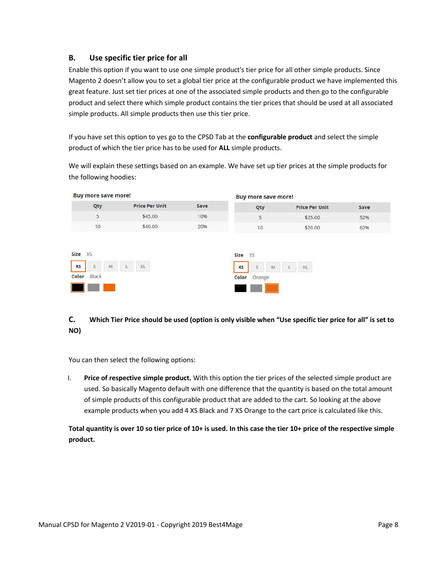### **B. Use specific tier price for all**

Enable this option if you want to use one simple product's tier price for all other simple products. Since Magento 2 doesn't allow you to set a global tier price at the configurable product we have implemented this great feature. Just set tier prices at one of the associated simple products and then go to the configurable product and select there which simple product contains the tier prices that should be used at all associated simple products. All simple products then use this tier price.

If you have set this option to yes go to the CPSD Tab at the **configurable product** and select the simple product of which the tier price has to be used for **ALL** simple products.

We will explain these settings based on an example. We have set up tier prices at the simple products for the following hoodies:



# **C. Which Tier Price should be used (option is only visible when "Use specific tier price for all" is set to NO)**

You can then select the following options:

I. **Price of respective simple product.** With this option the tier prices of the selected simple product are used. So basically Magento default with one difference that the quantity is based on the total amount of simple products of this configurable product that are added to the cart. So looking at the above example products when you add 4 XS Black and 7 XS Orange to the cart price is calculated like this.

**Total quantity is over 10 so tier price of 10+ is used. In this case the tier 10+ price of the respective simple product.**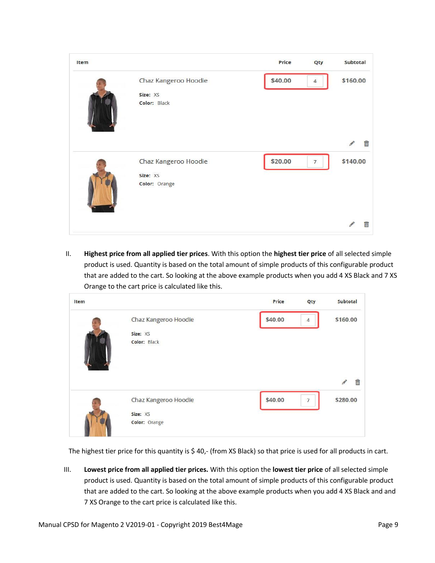

II. **Highest price from all applied tier prices**. With this option the **highest tier price** of all selected simple product is used. Quantity is based on the total amount of simple products of this configurable product that are added to the cart. So looking at the above example products when you add 4 XS Black and 7 XS Orange to the cart price is calculated like this.

| Item |                      | Price   | Qty            | Subtotal |
|------|----------------------|---------|----------------|----------|
|      | Chaz Kangeroo Hoodie | \$40.00 | $\overline{4}$ | \$160.00 |
|      | Size: XS             |         |                |          |
|      | Color: Black         |         |                | 笽        |
|      | Chaz Kangeroo Hoodie | \$40.00 | $\overline{7}$ | \$280.00 |
|      | Size: XS             |         |                |          |
|      | Color: Orange        |         |                |          |

The highest tier price for this quantity is \$40,- (from XS Black) so that price is used for all products in cart.

III. **Lowest price from all applied tier prices.** With this option the **lowest tier price** of all selected simple product is used. Quantity is based on the total amount of simple products of this configurable product that are added to the cart. So looking at the above example products when you add 4 XS Black and and 7 XS Orange to the cart price is calculated like this.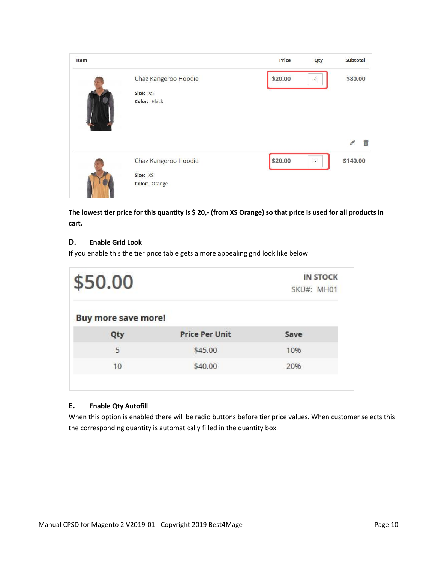

**The lowest tier price for this quantity is \$ 20,- (from XS Orange) so that price is used for all products in cart.**

#### **D. Enable Grid Look**

If you enable this the tier price table gets a more appealing grid look like below

| \$50.00                    |                       | <b>IN STOCK</b><br>SKU#: MH01 |  |  |
|----------------------------|-----------------------|-------------------------------|--|--|
| <b>Buy more save more!</b> |                       |                               |  |  |
| Qty                        | <b>Price Per Unit</b> | Save                          |  |  |
| 5                          | \$45.00               | 10%                           |  |  |
|                            | \$40.00               | 20%                           |  |  |

#### **E. Enable Qty Autofill**

When this option is enabled there will be radio buttons before tier price values. When customer selects this the corresponding quantity is automatically filled in the quantity box.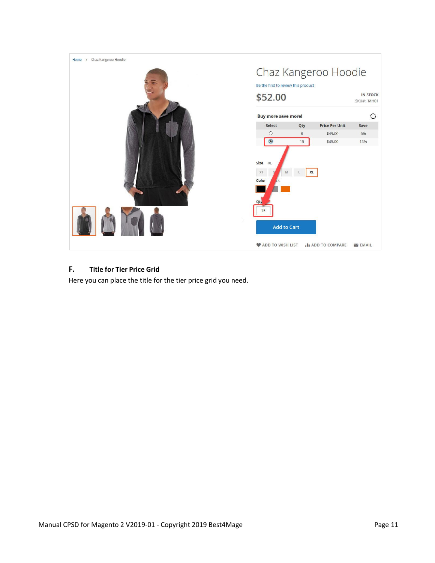

### **F. Title for Tier Price Grid**

Here you can place the title for the tier price grid you need.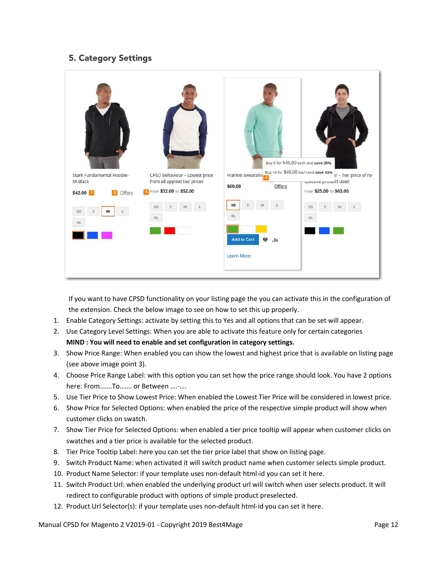# 5. Category Settings

|                                                           |                                                                                                   |                                                                                                    | Buy 5 for \$45.00 each and save 25%                                                                               |
|-----------------------------------------------------------|---------------------------------------------------------------------------------------------------|----------------------------------------------------------------------------------------------------|-------------------------------------------------------------------------------------------------------------------|
| Stark Fundamental Hoodie-<br>M-Black<br>\$42.00<br>Offers | CPSD Behaviour - Lowest price<br>from all applied tier prices<br><b>3</b> From \$32.00 To \$52.00 | Frankie Sweatshir<br>Offers<br>\$60.00                                                             | Buy 10 for \$40.00 each and save 33%<br>Ir - Tier price of re-<br>specuve product used<br>From \$25.00 To \$63.00 |
| XS<br>M<br>s<br>XL                                        | X5<br>M<br>XL                                                                                     | <b>XS</b><br>S.<br>M<br>XL<br><b>Add to Cart</b><br>$\bullet$<br>$\mathbf{H}$<br><b>Learn More</b> | XS<br>$\mathsf{s}$<br>M<br>XL                                                                                     |

If you want to have CPSD functionality on your listing page the you can activate this in the configuration of the extension. Check the below image to see on how to set this up properly.

- 1. Enable Category Settings: activate by setting this to Yes and all options that can be set will appear.
- 2. Use Category Level Settings: When you are able to activate this feature only for certain categories **MIND : You will need to enable and set configuration in category settings.**
- 3. Show Price Range: When enabled you can show the lowest and highest price that is available on listing page (see above image point 3).
- 4. Choose Price Range Label: with this option you can set how the price range should look. You have 2 options here: From…….To……. or Between ….-….
- 5. Use Tier Price to Show Lowest Price: When enabled the Lowest Tier Price will be considered in lowest price.
- 6. Show Price for Selected Options: when enabled the price of the respective simple product will show when customer clicks on swatch.
- 7. Show Tier Price for Selected Options: when enabled a tier price tooltip will appear when customer clicks on swatches and a tier price is available for the selected product.
- 8. Tier Price Tooltip Label: here you can set the tier price label that show on listing page.
- 9. Switch Product Name: when activated it will switch product name when customer selects simple product.
- 10. Product Name Selector: if your template uses non-default html-id you can set it here.
- 11. Switch Product Url: when enabled the underlying product url will switch when user selects product. It will redirect to configurable product with options of simple product preselected.
- 12. Product Url Selector(s): if your template uses non-default html-id you can set it here.

Manual CPSD for Magento 2 V2019-01 - Copyright 2019 Best4Mage Page 12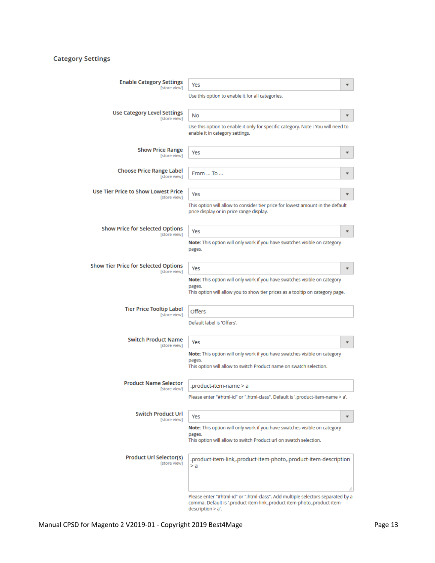### **Category Settings**

| <b>Enable Category Settings</b>                           | Yes                                                                                                                                                                              |    |
|-----------------------------------------------------------|----------------------------------------------------------------------------------------------------------------------------------------------------------------------------------|----|
| [store view]                                              | Use this option to enable it for all categories.                                                                                                                                 |    |
| <b>Use Category Level Settings</b><br><b>Istore view1</b> | No                                                                                                                                                                               |    |
|                                                           | Use this option to enable it only for specific category. Note : You will need to<br>enable it in category settings.                                                              |    |
| <b>Show Price Range</b><br>[store view]                   | Yes                                                                                                                                                                              |    |
| <b>Choose Price Range Label</b><br>[store view]           | From  To                                                                                                                                                                         |    |
| Use Tier Price to Show Lowest Price<br>[store view]       | Yes                                                                                                                                                                              |    |
|                                                           | This option will allow to consider tier price for lowest amount in the default<br>price display or in price range display.                                                       |    |
| <b>Show Price for Selected Options</b><br>[store view]    | Yes                                                                                                                                                                              |    |
|                                                           | Note: This option will only work if you have swatches visible on category<br>pages.                                                                                              |    |
| Show Tier Price for Selected Options<br>[store view]      | Yes                                                                                                                                                                              |    |
|                                                           | Note: This option will only work if you have swatches visible on category<br>pages.<br>This option will allow you to show tier prices as a tooltip on category page.             |    |
| <b>Tier Price Tooltip Label</b><br>[store view]           | <b>Offers</b>                                                                                                                                                                    |    |
|                                                           | Default label is 'Offers'.                                                                                                                                                       |    |
| <b>Switch Product Name</b><br>[store view]                | Yes                                                                                                                                                                              |    |
|                                                           | Note: This option will only work if you have swatches visible on category<br>pages.<br>This option will allow to switch Product name on swatch selection.                        |    |
| <b>Product Name Selector</b><br>[store view]              | .product-item-name > a                                                                                                                                                           |    |
|                                                           | Please enter "#html-id" or ".html-class". Default is '.product-item-name > a'.                                                                                                   |    |
| <b>Switch Product Url</b><br>[store view]                 | Yes                                                                                                                                                                              |    |
|                                                           | Note: This option will only work if you have swatches visible on category<br>pages.<br>This option will allow to switch Product url on swatch selection.                         |    |
| <b>Product Url Selector(s)</b><br>[store view]            | .product-item-link,.product-item-photo,.product-item-description<br>> a                                                                                                          | a. |
|                                                           | Please enter "#html-id" or ".html-class". Add multiple selectors separated by a<br>comma. Default is '.product-item-link,.product-item-photo,.product-item-<br>description > a'. |    |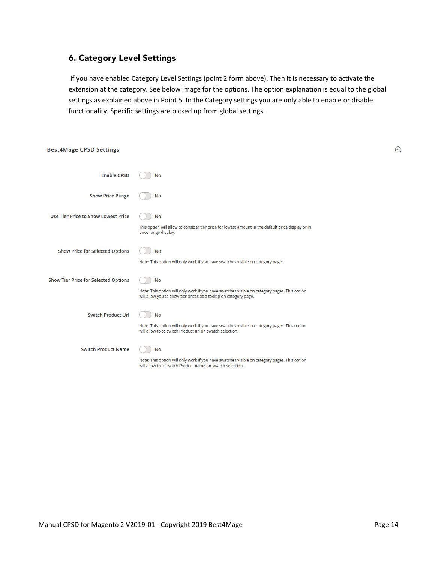# 6. Category Level Settings

If you have enabled Category Level Settings (point 2 form above). Then it is necessary to activate the extension at the category. See below image for the options. The option explanation is equal to the global settings as explained above in Point 5. In the Category settings you are only able to enable or disable functionality. Specific settings are picked up from global settings.

| <b>Best4Mage CPSD Settings</b>              |                                                                                                                                                                                |
|---------------------------------------------|--------------------------------------------------------------------------------------------------------------------------------------------------------------------------------|
| <b>Enable CPSD</b>                          | <b>No</b>                                                                                                                                                                      |
| <b>Show Price Range</b>                     | <b>No</b>                                                                                                                                                                      |
| <b>Use Tier Price to Show Lowest Price</b>  | No<br>This option will allow to consider tier price for lowest amount in the default price display or in<br>price range display.                                               |
| <b>Show Price for Selected Options</b>      | <b>No</b><br>Note: This option will only work if you have swatches visible on category pages.                                                                                  |
| <b>Show Tier Price for Selected Options</b> | <b>No</b><br>Note: This option will only work if you have swatches visible on category pages. This option<br>will allow you to show tier prices as a tooltip on category page. |
| <b>Switch Product Url</b>                   | <b>No</b><br>Note: This option will only work if you have swatches visible on category pages. This option<br>will allow to to switch Product url on swatch selection.          |
| <b>Switch Product Name</b>                  | <b>No</b><br>Note: This option will only work if you have swatches visible on category pages. This option                                                                      |

will allow to to switch Product name on swatch selection.

 $\odot$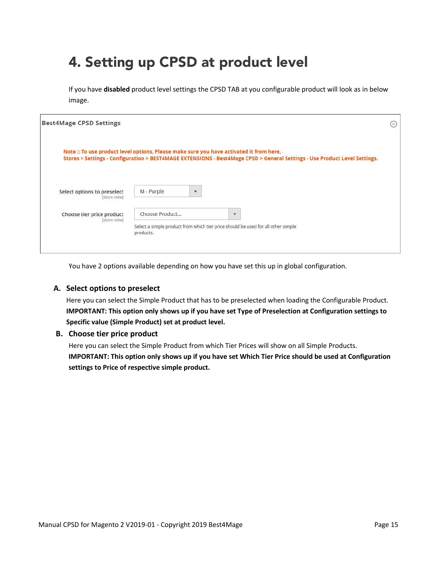# 4. Setting up CPSD at product level

If you have **disabled** product level settings the CPSD TAB at you configurable product will look as in below image.

| <b>Best4Mage CPSD Settings</b>                                                                                                                                                                                        |                                                                                                                  |   |              |  |  |  | $(\sim)$ |
|-----------------------------------------------------------------------------------------------------------------------------------------------------------------------------------------------------------------------|------------------------------------------------------------------------------------------------------------------|---|--------------|--|--|--|----------|
| Note :: To use product level options, Please make sure you have activated it from here,<br>Stores > Settings - Configuration > BEST4MAGE EXTENSIONS - Best4Mage CPSD > General Settings - Use Product Level Settings. |                                                                                                                  |   |              |  |  |  |          |
| Select options to preselect<br>[store view]                                                                                                                                                                           | M - Purple                                                                                                       | ۳ |              |  |  |  |          |
| Choose tier price product<br>[store view]                                                                                                                                                                             | Choose Product<br>Select a simple product from which tier price should be used for all other simple<br>products. |   | $\mathbf{v}$ |  |  |  |          |

You have 2 options available depending on how you have set this up in global configuration.

#### **A. Select options to preselect**

Here you can select the Simple Product that has to be preselected when loading the Configurable Product. **IMPORTANT: This option only shows up if you have set Type of Preselection at Configuration settings to Specific value (Simple Product) set at product level.**

#### **B. Choose tier price product**

Here you can select the Simple Product from which Tier Prices will show on all Simple Products. **IMPORTANT: This option only shows up if you have set Which Tier Price should be used at Configuration settings to Price of respective simple product.**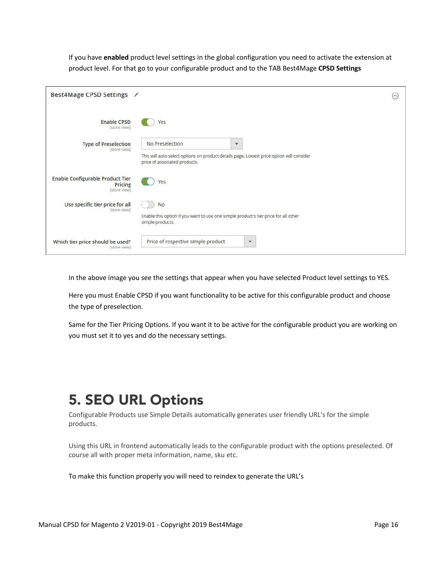If you have **enabled** product level settings in the global configuration you need to activate the extension at product level. For that go to your configurable product and to the TAB Best4Mage **CPSD Settings**

| Best4Mage CPSD Settings /                                          |                                                                                                                                                              | $(\wedge)$ |
|--------------------------------------------------------------------|--------------------------------------------------------------------------------------------------------------------------------------------------------------|------------|
| <b>Enable CPSD</b><br>[store view]                                 | Yes                                                                                                                                                          |            |
| <b>Type of Preselection</b><br>[store view]                        | No Preselection<br>$\mathbf{v}$<br>This will auto select options on product details page. Lowest price option will consider<br>price of associated products. |            |
| <b>Enable Configurable Product Tier</b><br>Pricing<br>[store view] | Yes                                                                                                                                                          |            |
| Use specific tier price for all<br>[store view]                    | <b>No</b><br>Enable this option if you want to use one simple product's tier price for all other<br>simple products.                                         |            |
| Which tier price should be used?<br>[store view]                   | Price of respective simple product<br>$\mathbf{v}$                                                                                                           |            |

In the above image you see the settings that appear when you have selected Product level settings to YES.

Here you must Enable CPSD if you want functionality to be active for this configurable product and choose the type of preselection.

Same for the Tier Pricing Options. If you want it to be active for the configurable product you are working on you must set it to yes and do the necessary settings.

# 5. SEO URL Options

Configurable Products use Simple Details automatically generates user friendly URL's for the simple products.

Using this URL in frontend automatically leads to the configurable product with the options preselected. Of course all with proper meta information, name, sku etc.

To make this function properly you will need to reindex to generate the URL's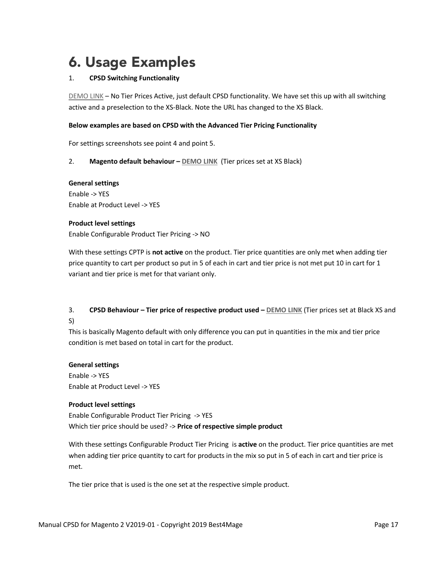# 6. Usage Examples

#### 1. **CPSD Switching Functionality**

[DEMO LINK](http://m2-cpsd.best4mage-demo.com/chaz-kangeroo-hoodie.html) – No Tier Prices Active, just default CPSD functionality. We have set this up with all switching active and a preselection to the XS-Black. Note the URL has changed to the XS Black.

#### **Below examples are based on CPSD with the Advanced Tier Pricing Functionality**

For settings screenshots see point 4 and point 5.

2. **Magento default behaviour – [DEMO LINK](https://m2-cpsd.best4mage-demo.com/tier-prices-magento-default-setup.html)** (Tier prices set at XS Black)

### **General settings**

Enable -> YES Enable at Product Level -> YES

#### **Product level settings**

Enable Configurable Product Tier Pricing -> NO

With these settings CPTP is **not active** on the product. Tier price quantities are only met when adding tier price quantity to cart per product so put in 5 of each in cart and tier price is not met put 10 in cart for 1 variant and tier price is met for that variant only.

### 3. **CPSD Behaviour – Tier price of respective product used – [DEMO LINK](https://demo-m2-1.best4mage-demo.com/cptp-tier-price-of-respective-product-used.html)** (Tier prices set at Black XS and S)

This is basically Magento default with only difference you can put in quantities in the mix and tier price condition is met based on total in cart for the product.

#### **General settings**

Enable -> YES Enable at Product Level -> YES

#### **Product level settings**

Enable Configurable Product Tier Pricing -> YES Which tier price should be used? -> **Price of respective simple product**

With these settings Configurable Product Tier Pricing is **active** on the product. Tier price quantities are met when adding tier price quantity to cart for products in the mix so put in 5 of each in cart and tier price is met.

The tier price that is used is the one set at the respective simple product.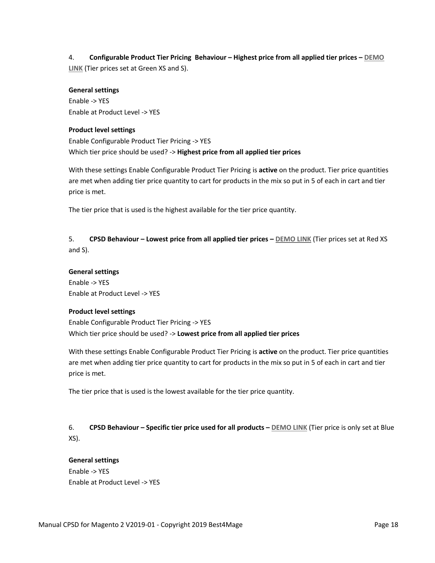4. **Configurable Product Tier Pricing Behaviour – Highest price from all applied tier prices – [DEMO](https://m2-cpsd.best4mage-demo.com/cptp-highest-price-from-all-applied-tier-prices-used.html)  [LINK](https://m2-cpsd.best4mage-demo.com/cptp-highest-price-from-all-applied-tier-prices-used.html)** (Tier prices set at Green XS and S).

#### **General settings**

Enable -> YES Enable at Product Level -> YES

#### **Product level settings**

Enable Configurable Product Tier Pricing -> YES Which tier price should be used? -> **Highest price from all applied tier prices**

With these settings Enable Configurable Product Tier Pricing is **active** on the product. Tier price quantities are met when adding tier price quantity to cart for products in the mix so put in 5 of each in cart and tier price is met.

The tier price that is used is the highest available for the tier price quantity.

5. **CPSD Behaviour – Lowest price from all applied tier prices – [DEMO LINK](https://m2-cpsd.best4mage-demo.com/cptp-lowest-price-from-all-applied-tier-prices-used.html)** (Tier prices set at Red XS and S).

#### **General settings**

Enable -> YES Enable at Product Level -> YES

#### **Product level settings**

Enable Configurable Product Tier Pricing -> YES Which tier price should be used? -> **Lowest price from all applied tier prices**

With these settings Enable Configurable Product Tier Pricing is **active** on the product. Tier price quantities are met when adding tier price quantity to cart for products in the mix so put in 5 of each in cart and tier price is met.

The tier price that is used is the lowest available for the tier price quantity.

6. **CPSD Behaviour – Specific tier price used for all products – [DEMO LINK](https://m2-cpsd.best4mage-demo.com/cpsd-behaviour-specific-tier-price-used-for-all-products.html)** (Tier price is only set at Blue XS).

#### **General settings**

Enable -> YES Enable at Product Level -> YES